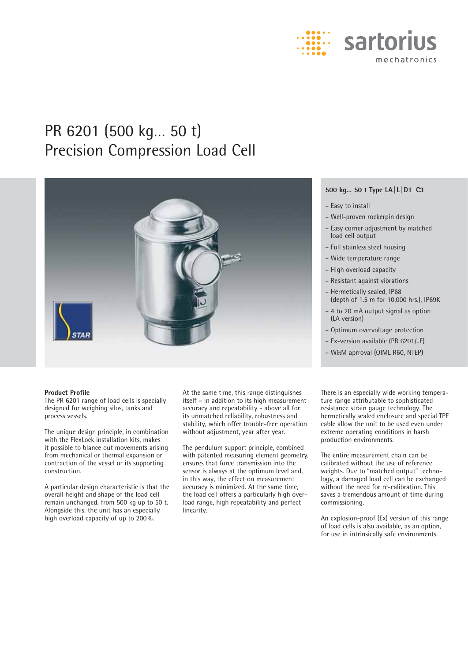

# PR 6201 (500 kg… 50 t) Precision Compression Load Cell



#### **Product Profile**

The PR 6201 range of load cells is specially designed for weighing silos, tanks and process vessels.

The unique design principle, in combination with the FlexLock installation kits, makes it possible to blance out movements arising from mechanical or thermal expansion or contraction of the vessel or its supporting construction.

A particular design characteristic is that the overall height and shape of the load cell remain unchanged, from 500 kg up to 50 t. Alongside this, the unit has an especially high overload capacity of up to 200%.

At the same time, this range distinguishes itself – in addition to its high measurement accuracy and repeatability - above all for its unmatched reliability, robustness and stability, which offer trouble-free operation without adjustment, year after year.

The pendulum support principle, combined with patented measuring element geometry, ensures that force transmission into the sensor is always at the optimum level and, in this way, the effect on measurement accuracy is minimized. At the same time, the load cell offers a particularly high overload range, high repeatability and perfect linearity.

#### **500 kg… 50 t Type LA | L | D1 | C3**

- Easy to install
- Well-proven rockerpin design
- Easy corner adjustment by matched load cell output
- Full stainless steel housing
- Wide temperature range
- High overload capacity
- Resistant against vibrations
- Hermetically sealed, IP68 (depth of 1.5 m for 10,000 hrs.), IP69K
- 4 to 20 mA output signal as option (LA version)
- Optimum overvoltage protection
- Ex-version available (PR 6201/..E)
- W&M aprroval (OIML R60, NTEP)

There is an especially wide working temperature range attributable to sophisticated resistance strain gauge technology. The hermetically sealed enclosure and special TPE cable allow the unit to be used even under extreme operating conditions in harsh production environments.

The entire measurement chain can be calibrated without the use of reference weights. Due to "matched output" technology, a damaged load cell can be exchanged without the need for re-calibration. This saves a tremendous amount of time during commissioning.

An explosion-proof (Ex) version of this range of load cells is also available, as an option, for use in intrinsically safe environments.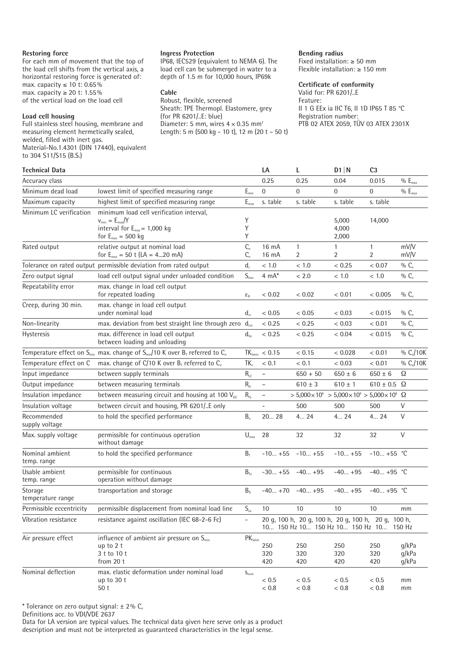### **Restoring force**

For each mm of movement that the top of the load cell shifts from the vertical axis, a horizontal restoring force is generated of: max. capacity ≤ 10 t: 0.65% max. capacity ≥ 20 t: 1.55% of the vertical load on the load cell

## **Load cell housing**

Full stainless steel housing, membrane and measuring element hermetically sealed, welded, filled with inert gas. Material-No.1.4301 (DIN 17440), equivalent to 304 S11/S15 (B.S.)

#### **Ingress Protection**

IP68, IEC529 (equivalent to NEMA 6). The load cell can be submerged in water to a depth of 1.5 m for 10,000 hours, IP69k

## **Cable**

Robust, flexible, screened Sheath: TPE Thermopl. Elastomere, grey (for PR 6201/..E: blue) Diameter: 5 mm, wires  $4 \times 0.35$  mm<sup>2</sup> Length: 5 m (500 kg - 10 t), 12 m (20 t – 50 t)

## **Bending radius**

Fixed installation: ≥ 50 mm Flexible installation: ≥ 150 mm

# **Certificate of conformity**

Valid for: PR 6201/..E Feature: II 1 G EEx ia IIC T6, II 1D IP65 T 85 °C Registration number: PTB 02 ATEX 2059, TÜV 03 ATEX 2301X

| Technical Data                 |                                                                                                                                                |                               | LA                       | L                                                                                              | D1 N                           | C <sub>3</sub>       |                         |
|--------------------------------|------------------------------------------------------------------------------------------------------------------------------------------------|-------------------------------|--------------------------|------------------------------------------------------------------------------------------------|--------------------------------|----------------------|-------------------------|
| Accuracy class                 |                                                                                                                                                |                               | 0.25                     | 0.25                                                                                           | 0.04                           | 0.015                | $\%$ $E_{max}$          |
| Minimum dead load              | lowest limit of specified measuring range                                                                                                      | $E_{\text{min}}$              | $\mathbf 0$              | $\mathbf{0}$                                                                                   | $\overline{0}$                 | $\mathbf{0}$         | $\%$ $E_{max}$          |
| Maximum capacity               | highest limit of specified measuring range                                                                                                     | $E_{\text{max}}$              | s. table                 | s. table                                                                                       | s. table                       | s. table             |                         |
| Minimum LC verification        | minimum load cell verification interval,<br>$V_{\text{min}} = E_{\text{max}}/Y$<br>interval for $E_{max} = 1,000$ kg<br>for $E_{max} = 500$ kg | Y<br>Υ<br>Y                   |                          |                                                                                                | 5,000<br>4,000<br>2,000        | 14,000               |                         |
| Rated output                   | relative output at nominal load<br>for $E_{max}$ = 50 t (LA = 420 mA)                                                                          | $C_{n}$<br>$C_{n}$            | 16 mA<br>16 mA           | $\mathbf{1}$<br>$\overline{2}$                                                                 | $\mathbf{1}$<br>$\overline{2}$ | 1<br>$\overline{2}$  | mV/V<br>mV/V            |
|                                | Tolerance on rated output permissible deviation from rated output                                                                              | $d_c$                         | < 1.0                    | < 1.0                                                                                          | < 0.25                         | < 0.07               | $\%$ C <sub>n</sub>     |
| Zero output signal             | load cell output signal under unloaded condition                                                                                               | $S_{\min}$                    | 4 $mA^*$                 | < 2.0                                                                                          | < 1.0                          | < 1.0                | $\%$ C <sub>n</sub>     |
| Repeatability error            | max. change in load cell output<br>for repeated loading                                                                                        | $\epsilon_{\textrm{\tiny R}}$ | < 0.02                   | < 0.02                                                                                         | < 0.01                         | < 0.005              | $% C_n$                 |
| Creep, during 30 min.          | max. change in load cell output<br>under nominal load                                                                                          | $d_{cr}$                      | < 0.05                   | < 0.05                                                                                         | < 0.03                         | < 0.015              | $% C_n$                 |
| Non-linearity                  | max. deviation from best straight line through zero d <sub>un</sub>                                                                            |                               | < 0.25                   | < 0.25                                                                                         | < 0.03                         | < 0.01               | $\%$ C <sub>n</sub>     |
| Hysteresis                     | max. difference in load cell output<br>between loading and unloading                                                                           | $d_{hv}$                      | < 0.25                   | < 0.25                                                                                         | < 0.04                         | < 0.015              | $% C_n$                 |
|                                | Temperature effect on $S_{min}$ max. change of $S_{min}/10$ K over $B_{\text{T}}$ referred to $C_{\text{n}}$                                   |                               | $TK_{smin}$ < 0.15       | < 0.15                                                                                         | < 0.028                        | < 0.01               | % $C_n/10K$             |
| Temperature effect on C        | max. change of C/10 K over $B_r$ referred to $C_n$                                                                                             | $TK_c$                        | < 0.1                    | < 0.1                                                                                          | < 0.03                         | < 0.01               | % $C_n/10K$             |
| Input impedance                | between supply terminals                                                                                                                       | $R_{LC}$                      | $\qquad \qquad -$        | $650 + 50$                                                                                     | $650 \pm 6$                    | $650 \pm 6$          | $\Omega$                |
| Output impedance               | between measuring terminals                                                                                                                    | $R_{o}$                       | $\overline{\phantom{0}}$ | $610 \pm 3$                                                                                    | $610 \pm 1$                    | $610\pm0.5$ $\Omega$ |                         |
| Insulation impedance           | between measuring circuit and housing at 100 $V_{\text{DC}}$                                                                                   | $R_{IS}$                      | $\overline{\phantom{0}}$ | $> 5,000 \times 10^6$ $> 5,000 \times 10^6$ $> 5,000 \times 10^6$ $\Omega$                     |                                |                      |                         |
| Insulation voltage             | between circuit and housing, PR 6201/E only                                                                                                    |                               | $\overline{\phantom{a}}$ | 500                                                                                            | 500                            | 500                  | $\vee$                  |
| Recommended<br>supply voltage  | to hold the specified performance                                                                                                              | $B_{\rm u}$                   | 2028                     | 4 24                                                                                           | 4 24                           | 424                  | $\vee$                  |
| Max. supply voltage            | permissible for continuous operation<br>without damage                                                                                         | $U_{\text{max}}$              | 28                       | 32                                                                                             | 32                             | 32                   | $\vee$                  |
| Nominal ambient<br>temp. range | to hold the specified performance                                                                                                              | $B_{\tau}$                    | $-10 +55$                | $-10 +55$                                                                                      | $-10 +55$                      | $-10 +55$ °C         |                         |
| Usable ambient<br>temp. range  | permissible for continuous<br>operation without damage                                                                                         | $B_{\tau u}$                  | $-30+55$                 | $-40 +95$                                                                                      | $-40 +95$                      | $-40 +95$ °C         |                         |
| Storage<br>temperature range   | transportation and storage                                                                                                                     | $B_{T1}$                      |                          | $-40 +70 -40 +95$                                                                              | $-40 +95$                      | $-40 +95$ °C         |                         |
| Permissible eccentricity       | permissible displacement from nominal load line                                                                                                | $S_{ex}$                      | 10                       | 10                                                                                             | 10                             | 10                   | mm                      |
| Vibration resistance           | resistance against oscillation (IEC 68-2-6 Fc)                                                                                                 |                               |                          | 20 g, 100 h, 20 g, 100 h, 20 g, 100 h, 20 g, 100 h,<br>10 150 Hz 10 150 Hz 10 150 Hz 10 150 Hz |                                |                      |                         |
| Air pressure effect            | influence of ambient air pressure on $S_{min}$<br>up to $2t$<br>3 t to 10 t<br>from 20 t                                                       | $PK_{smin}$                   | 250<br>320<br>420        | 250<br>320<br>420                                                                              | 250<br>320<br>420              | 250<br>320<br>420    | g/kPa<br>g/kPa<br>g/kPa |
| Nominal deflection             | max. elastic deformation under nominal load<br>up to 30 t<br>50t                                                                               | $S_{nom}$                     | $< 0.5$<br>$< 0.8$       | $< 0.5$<br>$< 0.8$                                                                             | $< 0.5$<br>< 0.8               | $< 0.5$<br>$< 0.8$   | mm<br>mm                |

\* Tolerance on zero output signal:  $\pm$  2% C<sub>n</sub>

Definitions acc. to VDI/VDE 2637

Data for LA version are typical values. The technical data given here serve only as a product description and must not be interpreted as guaranteed characteristics in the legal sense.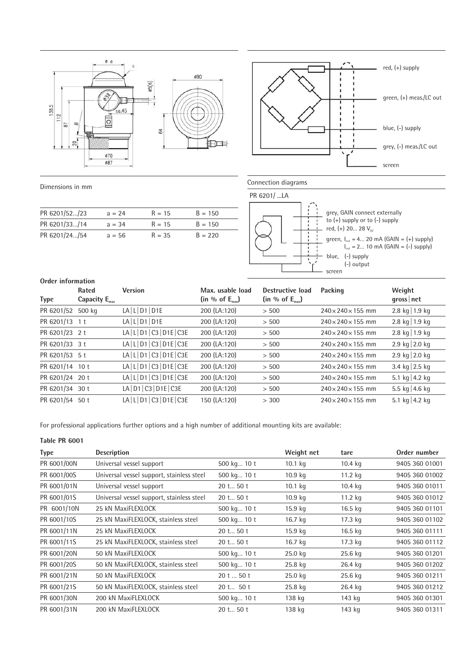



## Dimensions in mm

| $a = 24$ | $R = 15$ | $B = 150$ |
|----------|----------|-----------|
| $a = 34$ | $R = 15$ | $B = 150$ |
| $a = 56$ | $R = 35$ | $B = 220$ |
|          |          |           |

# Connection diagrams



# **Order information**

| <b>VIULI IIIIVIIII</b> ALIVII |                                    |                            |                                                 |                                                        |                                |                       |
|-------------------------------|------------------------------------|----------------------------|-------------------------------------------------|--------------------------------------------------------|--------------------------------|-----------------------|
| <b>Type</b>                   | Rated<br>Capacity $E_{\text{max}}$ | Version                    | Max. usable load<br>(in % of E <sub>max</sub> ) | <b>Destructive load</b><br>(in % of $E_{\text{max}}$ ) | Packing                        | Weight<br>$gross$ net |
| PR 6201/52 500 kg             |                                    | LA L D1 D1E                | 200 (LA:120)                                    | > 500                                                  | $240 \times 240 \times 155$ mm | 2.8 kg $1.9$ kg       |
| PR 6201/13 1t                 |                                    | LA L D1 D1E                | 200 (LA:120)                                    | > 500                                                  | $240 \times 240 \times 155$ mm | 2.8 kg $1.9$ kg       |
| PR 6201/23 2 t                |                                    | LA  L  D1   C3   D1E   C3E | 200 (LA:120)                                    | > 500                                                  | $240 \times 240 \times 155$ mm | 2.8 kg $1.9$ kg       |
| PR 6201/33 3t                 |                                    | LA  L  D1   C3   D1E   C3E | 200 (LA:120)                                    | > 500                                                  | $240\times240\times155$ mm     | 2.9 kg $ 2.0$ kg      |
| PR 6201/53 5t                 |                                    | LA  L  D1   C3   D1E   C3E | 200 (LA:120)                                    | > 500                                                  | $240\times240\times155$ mm     | 2.9 kg $ 2.0$ kg      |
| PR 6201/14 10 t               |                                    | LA  L  D1   C3   D1E   C3E | 200 (LA:120)                                    | > 500                                                  | $240\times240\times155$ mm     | 3.4 kg $ 2.5$ kg      |
| PR 6201/24 20 t               |                                    | LA  L  D1   C3   D1E   C3E | 200 (LA:120)                                    | > 500                                                  | $240 \times 240 \times 155$ mm | 5.1 kg $ 4.2$ kg      |
| PR 6201/34 30 t               |                                    | LA D1 C3 D1E C3E           | 200 (LA:120)                                    | > 500                                                  | $240 \times 240 \times 155$ mm | 5.5 kg $\vert$ 4.6 kg |
| PR 6201/54 50 t               |                                    | LA  L  D1   C3   D1E   C3E | 150 (LA:120)                                    | > 300                                                  | $240 \times 240 \times 155$ mm | 5.1 kg $ 4.2$ kg      |

For professional applications further options and a high number of additional mounting kits are available:

# **Table PR 6001**

| <b>Type</b> | <b>Description</b>                        |               | Weight net         | tare      | Order number   |
|-------------|-------------------------------------------|---------------|--------------------|-----------|----------------|
| PR 6001/00N | Universal vessel support                  | 500 kg 10 t   | $10.1$ kg          | $10.4$ kg | 9405 360 01001 |
| PR 6001/00S | Universal vessel support, stainless steel | 500 kg 10 t   | 10.9 <sub>kg</sub> | 11.2 kg   | 9405 360 01002 |
| PR 6001/01N | Universal vessel support                  | 20 t 50 t     | $10.1$ kg          | $10.4$ kg | 9405 360 01011 |
| PR 6001/01S | Universal vessel support, stainless steel | 20 t 50 t     | 10.9 <sub>kg</sub> | 11.2 kg   | 9405 360 01012 |
| PR 6001/10N | 25 kN MaxiFLEXLOCK                        | 500 kg 10 t   | $15.9$ kg          | $16.5$ kg | 9405 360 01101 |
| PR 6001/10S | 25 kN MaxiFLEXLOCK, stainless steel       | 500 kg 10 t   | 16.7 kg            | 17.3 kg   | 9405 360 01102 |
| PR 6001/11N | 25 kN MaxiFLEXLOCK                        | 20 t 50 t     | $15.9$ kg          | $16.5$ kg | 9405 360 01111 |
| PR 6001/11S | 25 kN MaxiFLEXLOCK, stainless steel       | 20 t 50 t     | 16.7 kg            | 17.3 kg   | 9405 360 01112 |
| PR 6001/20N | 50 kN MaxiFLEXLOCK                        | 500 kg 10 t   | $25.0$ kg          | 25.6 kg   | 9405 360 01201 |
| PR 6001/20S | 50 kN MaxiFLEXLOCK, stainless steel       | 500 kg 10 t   | $25.8$ kg          | 26.4 kg   | 9405 360 01202 |
| PR 6001/21N | 50 kN MaxiFLEXLOCK                        | 20 t  50 t    | 25.0 kg            | 25.6 kg   | 9405 360 01211 |
| PR 6001/21S | 50 kN MaxiFLEXLOCK, stainless steel       | $20$ t $50$ t | 25.8 kg            | 26.4 kg   | 9405 360 01212 |
| PR 6001/30N | 200 kN MaxiFLEXLOCK                       | 500 kg 10 t   | 138 kg             | 143 kg    | 9405 360 01301 |
| PR 6001/31N | 200 kN MaxiFLEXLOCK                       | $20$ t 50 t   | 138 kg             | 143 kg    | 9405 360 01311 |